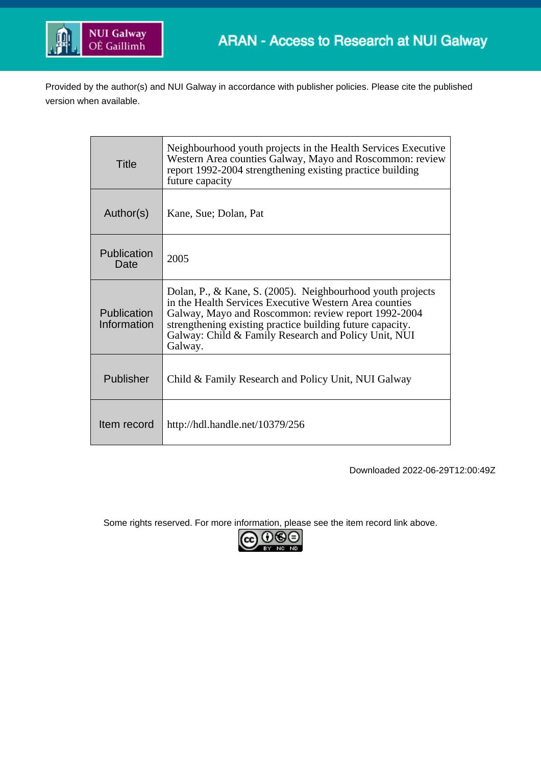

Provided by the author(s) and NUI Galway in accordance with publisher policies. Please cite the published version when available.

| Title                      | Neighbourhood youth projects in the Health Services Executive<br>Western Area counties Galway, Mayo and Roscommon: review<br>report 1992-2004 strengthening existing practice building<br>future capacity                                                                                                   |
|----------------------------|-------------------------------------------------------------------------------------------------------------------------------------------------------------------------------------------------------------------------------------------------------------------------------------------------------------|
| Author(s)                  | Kane, Sue; Dolan, Pat                                                                                                                                                                                                                                                                                       |
| Publication<br>Date        | 2005                                                                                                                                                                                                                                                                                                        |
| Publication<br>Information | Dolan, P., & Kane, S. (2005). Neighbourhood youth projects<br>in the Health Services Executive Western Area counties<br>Galway, Mayo and Roscommon: review report 1992-2004<br>strengthening existing practice building future capacity.<br>Galway: Child & Family Research and Policy Unit, NUI<br>Galway. |
| Publisher                  | Child & Family Research and Policy Unit, NUI Galway                                                                                                                                                                                                                                                         |
| Item record                | http://hdl.handle.net/10379/256                                                                                                                                                                                                                                                                             |

Downloaded 2022-06-29T12:00:49Z

Some rights reserved. For more information, please see the item record link above.

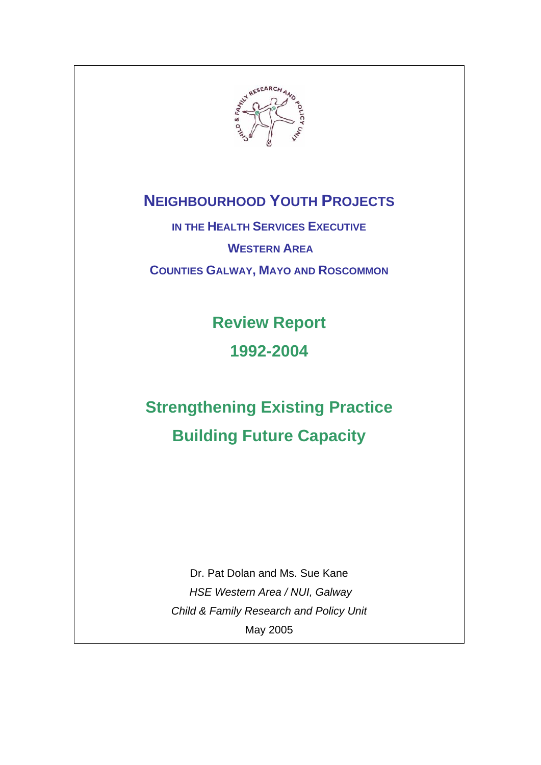

# **NEIGHBOURHOOD YOUTH PROJECTS**

**IN THE HEALTH SERVICES EXECUTIVE WESTERN AREA COUNTIES GALWAY, MAYO AND ROSCOMMON**

> **Review Report 1992-2004**

# **Strengthening Existing Practice Building Future Capacity**

Dr. Pat Dolan and Ms. Sue Kane  *HSE Western Area / NUI, Galway Child & Family Research and Policy Unit* May 2005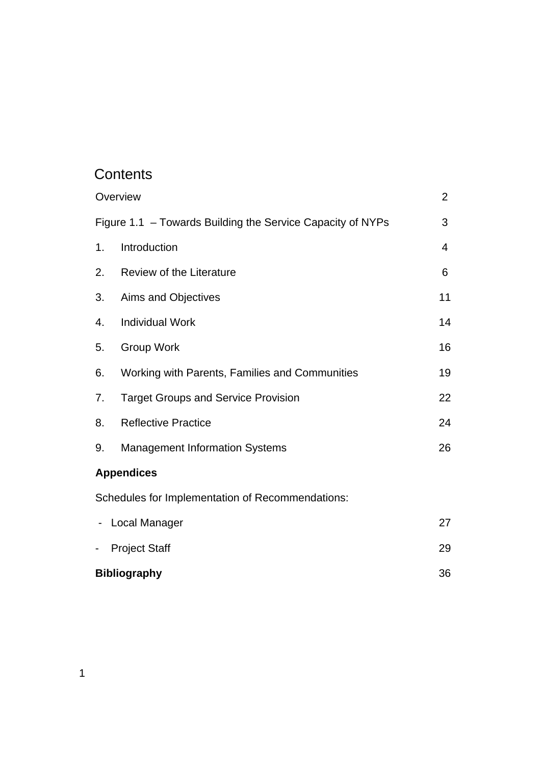# **Contents**

|    | Overview                                                   | $\overline{2}$ |
|----|------------------------------------------------------------|----------------|
|    | Figure 1.1 - Towards Building the Service Capacity of NYPs | 3              |
| 1. | Introduction                                               | 4              |
| 2. | <b>Review of the Literature</b>                            | 6              |
| 3. | Aims and Objectives                                        | 11             |
| 4. | <b>Individual Work</b>                                     | 14             |
| 5. | Group Work                                                 | 16             |
| 6. | Working with Parents, Families and Communities             | 19             |
| 7. | <b>Target Groups and Service Provision</b>                 | 22             |
| 8. | <b>Reflective Practice</b>                                 | 24             |
| 9. | <b>Management Information Systems</b>                      | 26             |
|    | <b>Appendices</b>                                          |                |
|    | Schedules for Implementation of Recommendations:           |                |
|    | <b>Local Manager</b>                                       | 27             |
|    | <b>Project Staff</b>                                       | 29             |
|    |                                                            |                |

**Bibliography** 36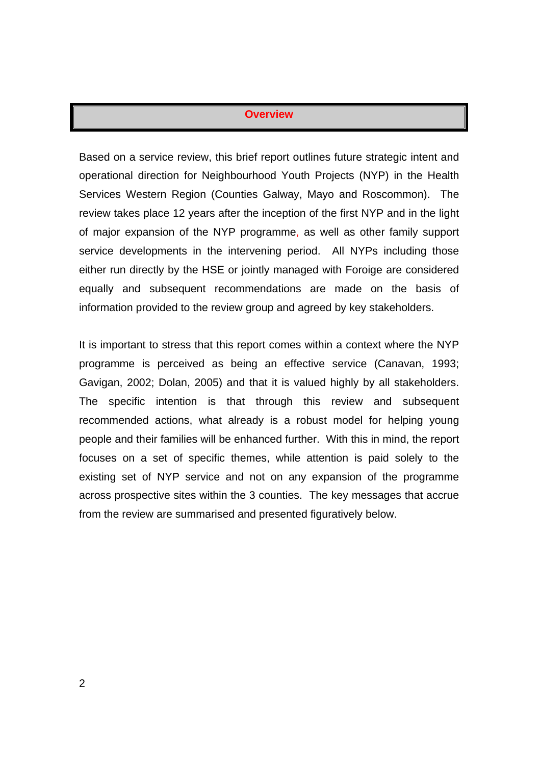#### **Overview**

Based on a service review, this brief report outlines future strategic intent and operational direction for Neighbourhood Youth Projects (NYP) in the Health Services Western Region (Counties Galway, Mayo and Roscommon). The review takes place 12 years after the inception of the first NYP and in the light of major expansion of the NYP programme, as well as other family support service developments in the intervening period. All NYPs including those either run directly by the HSE or jointly managed with Foroige are considered equally and subsequent recommendations are made on the basis of information provided to the review group and agreed by key stakeholders.

It is important to stress that this report comes within a context where the NYP programme is perceived as being an effective service (Canavan, 1993; Gavigan, 2002; Dolan, 2005) and that it is valued highly by all stakeholders. The specific intention is that through this review and subsequent recommended actions, what already is a robust model for helping young people and their families will be enhanced further. With this in mind, the report focuses on a set of specific themes, while attention is paid solely to the existing set of NYP service and not on any expansion of the programme across prospective sites within the 3 counties. The key messages that accrue from the review are summarised and presented figuratively below.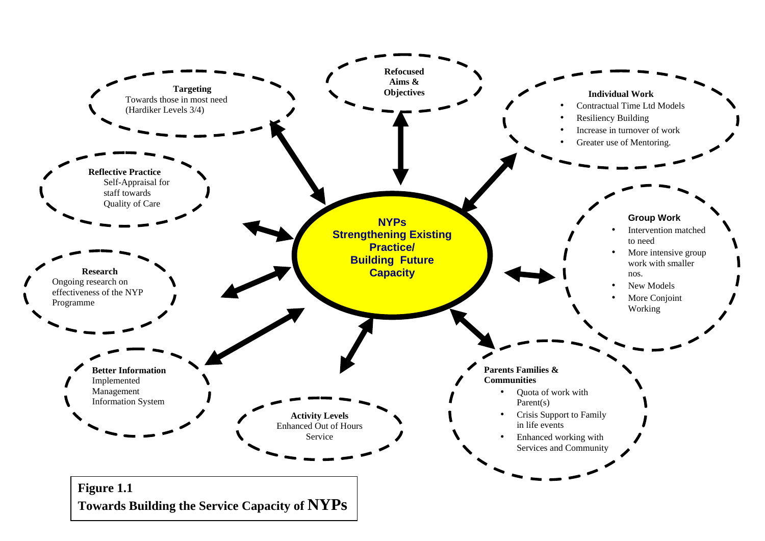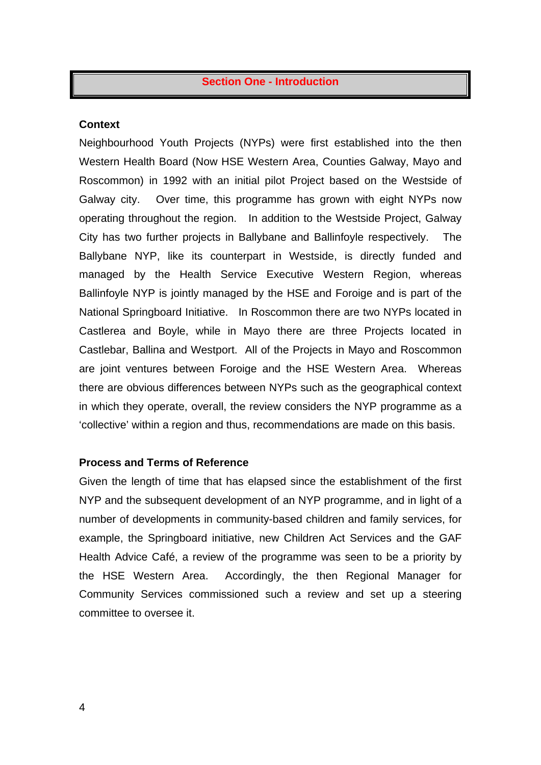#### **Section One - Introduction**

#### **Context**

Neighbourhood Youth Projects (NYPs) were first established into the then Western Health Board (Now HSE Western Area, Counties Galway, Mayo and Roscommon) in 1992 with an initial pilot Project based on the Westside of Galway city. Over time, this programme has grown with eight NYPs now operating throughout the region. In addition to the Westside Project, Galway City has two further projects in Ballybane and Ballinfoyle respectively. The Ballybane NYP, like its counterpart in Westside, is directly funded and managed by the Health Service Executive Western Region, whereas Ballinfoyle NYP is jointly managed by the HSE and Foroige and is part of the National Springboard Initiative. In Roscommon there are two NYPs located in Castlerea and Boyle, while in Mayo there are three Projects located in Castlebar, Ballina and Westport. All of the Projects in Mayo and Roscommon are joint ventures between Foroige and the HSE Western Area. Whereas there are obvious differences between NYPs such as the geographical context in which they operate, overall, the review considers the NYP programme as a 'collective' within a region and thus, recommendations are made on this basis.

#### **Process and Terms of Reference**

Given the length of time that has elapsed since the establishment of the first NYP and the subsequent development of an NYP programme, and in light of a number of developments in community-based children and family services, for example, the Springboard initiative, new Children Act Services and the GAF Health Advice Café, a review of the programme was seen to be a priority by the HSE Western Area. Accordingly, the then Regional Manager for Community Services commissioned such a review and set up a steering committee to oversee it.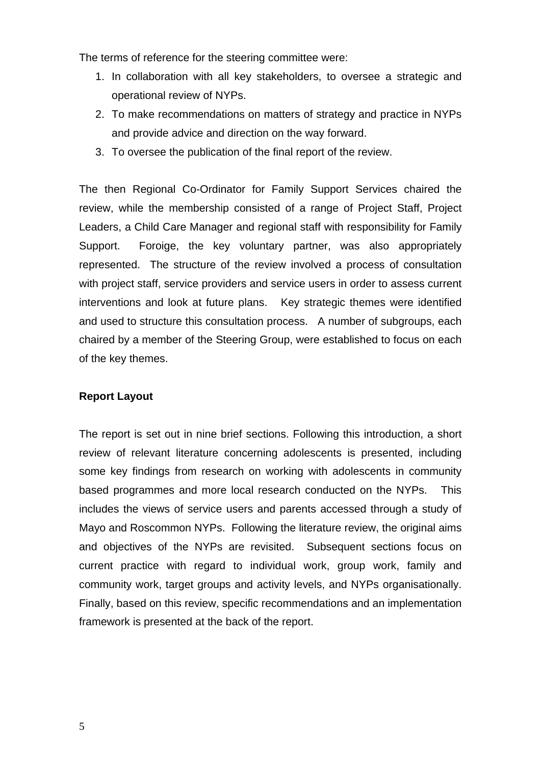The terms of reference for the steering committee were:

- 1. In collaboration with all key stakeholders, to oversee a strategic and operational review of NYPs.
- 2. To make recommendations on matters of strategy and practice in NYPs and provide advice and direction on the way forward.
- 3. To oversee the publication of the final report of the review.

The then Regional Co-Ordinator for Family Support Services chaired the review, while the membership consisted of a range of Project Staff, Project Leaders, a Child Care Manager and regional staff with responsibility for Family Support. Foroige, the key voluntary partner, was also appropriately represented. The structure of the review involved a process of consultation with project staff, service providers and service users in order to assess current interventions and look at future plans. Key strategic themes were identified and used to structure this consultation process. A number of subgroups, each chaired by a member of the Steering Group, were established to focus on each of the key themes.

# **Report Layout**

The report is set out in nine brief sections. Following this introduction, a short review of relevant literature concerning adolescents is presented, including some key findings from research on working with adolescents in community based programmes and more local research conducted on the NYPs. This includes the views of service users and parents accessed through a study of Mayo and Roscommon NYPs. Following the literature review, the original aims and objectives of the NYPs are revisited. Subsequent sections focus on current practice with regard to individual work, group work, family and community work, target groups and activity levels, and NYPs organisationally. Finally, based on this review, specific recommendations and an implementation framework is presented at the back of the report.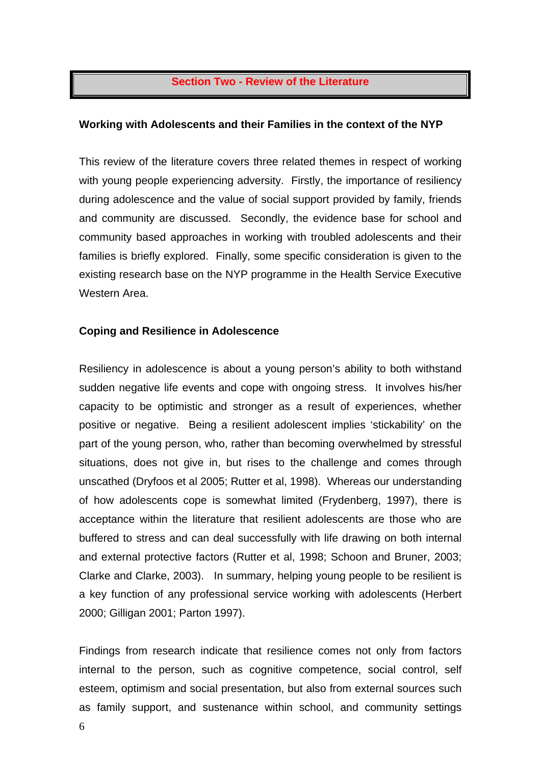#### **Section Two - Review of the Literature**

#### **Working with Adolescents and their Families in the context of the NYP**

This review of the literature covers three related themes in respect of working with young people experiencing adversity. Firstly, the importance of resiliency during adolescence and the value of social support provided by family, friends and community are discussed. Secondly, the evidence base for school and community based approaches in working with troubled adolescents and their families is briefly explored. Finally, some specific consideration is given to the existing research base on the NYP programme in the Health Service Executive Western Area.

#### **Coping and Resilience in Adolescence**

Resiliency in adolescence is about a young person's ability to both withstand sudden negative life events and cope with ongoing stress. It involves his/her capacity to be optimistic and stronger as a result of experiences, whether positive or negative. Being a resilient adolescent implies 'stickability' on the part of the young person, who, rather than becoming overwhelmed by stressful situations, does not give in, but rises to the challenge and comes through unscathed (Dryfoos et al 2005; Rutter et al, 1998). Whereas our understanding of how adolescents cope is somewhat limited (Frydenberg, 1997), there is acceptance within the literature that resilient adolescents are those who are buffered to stress and can deal successfully with life drawing on both internal and external protective factors (Rutter et al, 1998; Schoon and Bruner, 2003; Clarke and Clarke, 2003). In summary, helping young people to be resilient is a key function of any professional service working with adolescents (Herbert 2000; Gilligan 2001; Parton 1997).

Findings from research indicate that resilience comes not only from factors internal to the person, such as cognitive competence, social control, self esteem, optimism and social presentation, but also from external sources such as family support, and sustenance within school, and community settings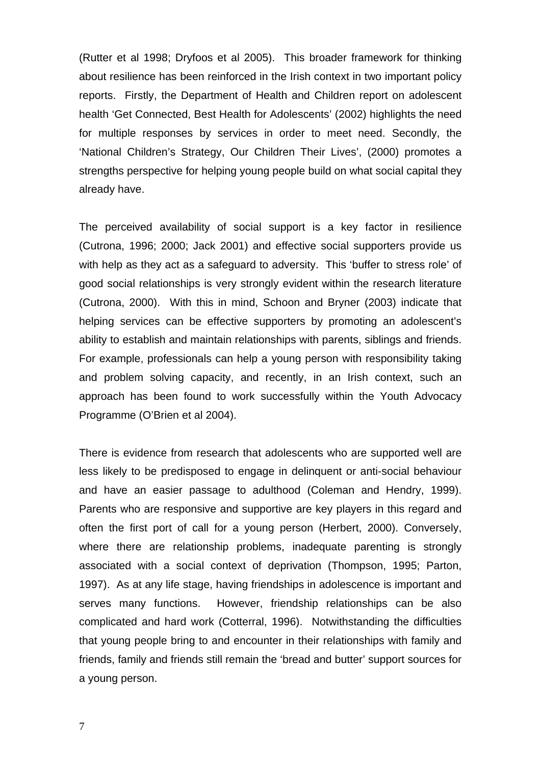(Rutter et al 1998; Dryfoos et al 2005). This broader framework for thinking about resilience has been reinforced in the Irish context in two important policy reports. Firstly, the Department of Health and Children report on adolescent health 'Get Connected, Best Health for Adolescents' (2002) highlights the need for multiple responses by services in order to meet need. Secondly, the 'National Children's Strategy, Our Children Their Lives', (2000) promotes a strengths perspective for helping young people build on what social capital they already have.

The perceived availability of social support is a key factor in resilience (Cutrona, 1996; 2000; Jack 2001) and effective social supporters provide us with help as they act as a safeguard to adversity. This 'buffer to stress role' of good social relationships is very strongly evident within the research literature (Cutrona, 2000). With this in mind, Schoon and Bryner (2003) indicate that helping services can be effective supporters by promoting an adolescent's ability to establish and maintain relationships with parents, siblings and friends. For example, professionals can help a young person with responsibility taking and problem solving capacity, and recently, in an Irish context, such an approach has been found to work successfully within the Youth Advocacy Programme (O'Brien et al 2004).

There is evidence from research that adolescents who are supported well are less likely to be predisposed to engage in delinquent or anti-social behaviour and have an easier passage to adulthood (Coleman and Hendry, 1999). Parents who are responsive and supportive are key players in this regard and often the first port of call for a young person (Herbert, 2000). Conversely, where there are relationship problems, inadequate parenting is strongly associated with a social context of deprivation (Thompson, 1995; Parton, 1997). As at any life stage, having friendships in adolescence is important and serves many functions. However, friendship relationships can be also complicated and hard work (Cotterral, 1996). Notwithstanding the difficulties that young people bring to and encounter in their relationships with family and friends, family and friends still remain the 'bread and butter' support sources for a young person.

7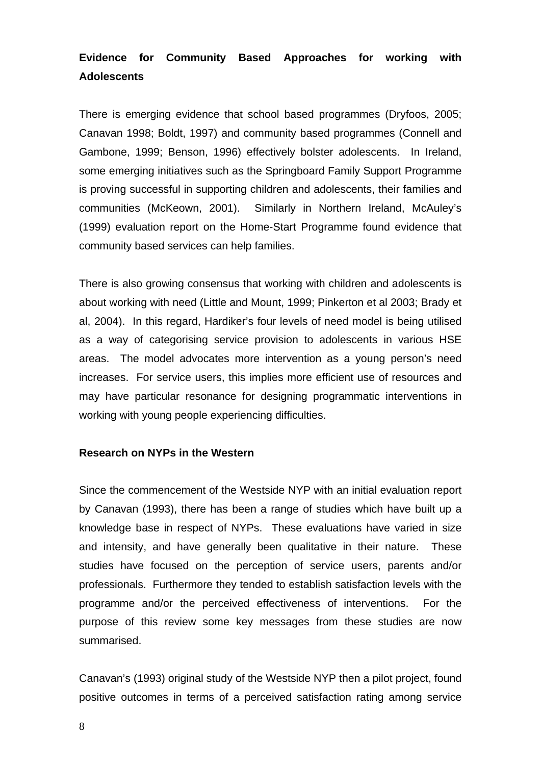# **Evidence for Community Based Approaches for working with Adolescents**

There is emerging evidence that school based programmes (Dryfoos, 2005; Canavan 1998; Boldt, 1997) and community based programmes (Connell and Gambone, 1999; Benson, 1996) effectively bolster adolescents. In Ireland, some emerging initiatives such as the Springboard Family Support Programme is proving successful in supporting children and adolescents, their families and communities (McKeown, 2001). Similarly in Northern Ireland, McAuley's (1999) evaluation report on the Home-Start Programme found evidence that community based services can help families.

There is also growing consensus that working with children and adolescents is about working with need (Little and Mount, 1999; Pinkerton et al 2003; Brady et al, 2004). In this regard, Hardiker's four levels of need model is being utilised as a way of categorising service provision to adolescents in various HSE areas. The model advocates more intervention as a young person's need increases. For service users, this implies more efficient use of resources and may have particular resonance for designing programmatic interventions in working with young people experiencing difficulties.

# **Research on NYPs in the Western**

Since the commencement of the Westside NYP with an initial evaluation report by Canavan (1993), there has been a range of studies which have built up a knowledge base in respect of NYPs. These evaluations have varied in size and intensity, and have generally been qualitative in their nature. These studies have focused on the perception of service users, parents and/or professionals. Furthermore they tended to establish satisfaction levels with the programme and/or the perceived effectiveness of interventions. For the purpose of this review some key messages from these studies are now summarised.

Canavan's (1993) original study of the Westside NYP then a pilot project, found positive outcomes in terms of a perceived satisfaction rating among service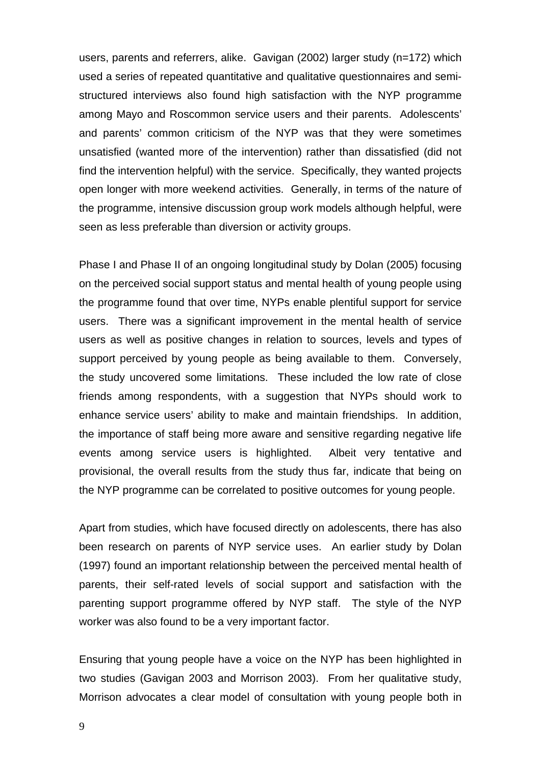users, parents and referrers, alike. Gavigan (2002) larger study (n=172) which used a series of repeated quantitative and qualitative questionnaires and semistructured interviews also found high satisfaction with the NYP programme among Mayo and Roscommon service users and their parents. Adolescents' and parents' common criticism of the NYP was that they were sometimes unsatisfied (wanted more of the intervention) rather than dissatisfied (did not find the intervention helpful) with the service. Specifically, they wanted projects open longer with more weekend activities. Generally, in terms of the nature of the programme, intensive discussion group work models although helpful, were seen as less preferable than diversion or activity groups.

Phase I and Phase II of an ongoing longitudinal study by Dolan (2005) focusing on the perceived social support status and mental health of young people using the programme found that over time, NYPs enable plentiful support for service users. There was a significant improvement in the mental health of service users as well as positive changes in relation to sources, levels and types of support perceived by young people as being available to them. Conversely, the study uncovered some limitations. These included the low rate of close friends among respondents, with a suggestion that NYPs should work to enhance service users' ability to make and maintain friendships. In addition, the importance of staff being more aware and sensitive regarding negative life events among service users is highlighted. Albeit very tentative and provisional, the overall results from the study thus far, indicate that being on the NYP programme can be correlated to positive outcomes for young people.

Apart from studies, which have focused directly on adolescents, there has also been research on parents of NYP service uses. An earlier study by Dolan (1997) found an important relationship between the perceived mental health of parents, their self-rated levels of social support and satisfaction with the parenting support programme offered by NYP staff. The style of the NYP worker was also found to be a very important factor.

Ensuring that young people have a voice on the NYP has been highlighted in two studies (Gavigan 2003 and Morrison 2003). From her qualitative study, Morrison advocates a clear model of consultation with young people both in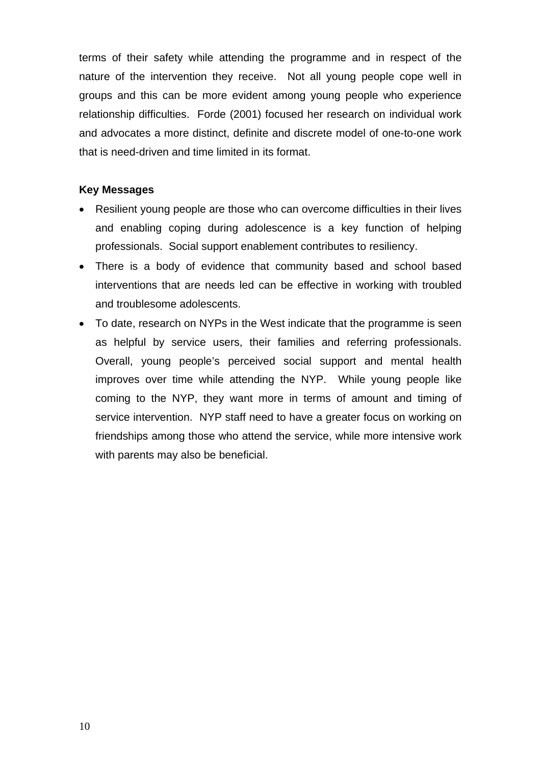terms of their safety while attending the programme and in respect of the nature of the intervention they receive. Not all young people cope well in groups and this can be more evident among young people who experience relationship difficulties. Forde (2001) focused her research on individual work and advocates a more distinct, definite and discrete model of one-to-one work that is need-driven and time limited in its format.

## **Key Messages**

- Resilient young people are those who can overcome difficulties in their lives and enabling coping during adolescence is a key function of helping professionals. Social support enablement contributes to resiliency.
- There is a body of evidence that community based and school based interventions that are needs led can be effective in working with troubled and troublesome adolescents.
- To date, research on NYPs in the West indicate that the programme is seen as helpful by service users, their families and referring professionals. Overall, young people's perceived social support and mental health improves over time while attending the NYP. While young people like coming to the NYP, they want more in terms of amount and timing of service intervention. NYP staff need to have a greater focus on working on friendships among those who attend the service, while more intensive work with parents may also be beneficial.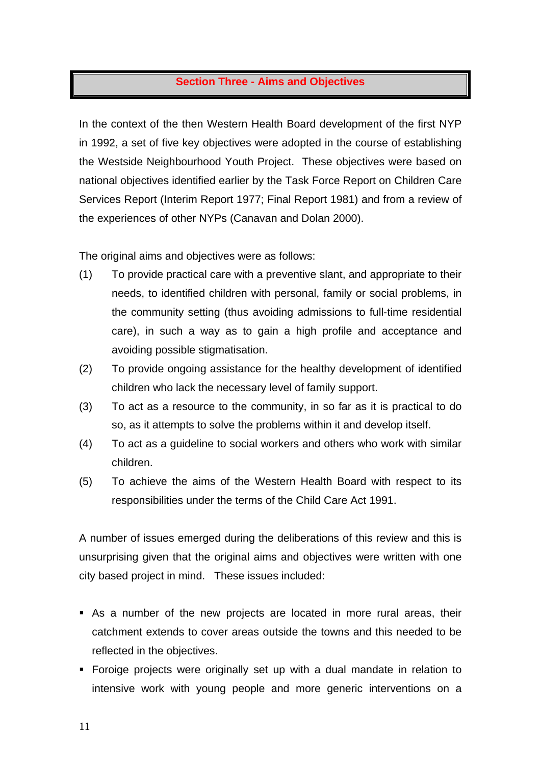# **Section Three - Aims and Objectives**

In the context of the then Western Health Board development of the first NYP in 1992, a set of five key objectives were adopted in the course of establishing the Westside Neighbourhood Youth Project. These objectives were based on national objectives identified earlier by the Task Force Report on Children Care Services Report (Interim Report 1977; Final Report 1981) and from a review of the experiences of other NYPs (Canavan and Dolan 2000).

The original aims and objectives were as follows:

- (1) To provide practical care with a preventive slant, and appropriate to their needs, to identified children with personal, family or social problems, in the community setting (thus avoiding admissions to full-time residential care), in such a way as to gain a high profile and acceptance and avoiding possible stigmatisation.
- (2) To provide ongoing assistance for the healthy development of identified children who lack the necessary level of family support.
- (3) To act as a resource to the community, in so far as it is practical to do so, as it attempts to solve the problems within it and develop itself.
- (4) To act as a guideline to social workers and others who work with similar children.
- (5) To achieve the aims of the Western Health Board with respect to its responsibilities under the terms of the Child Care Act 1991.

A number of issues emerged during the deliberations of this review and this is unsurprising given that the original aims and objectives were written with one city based project in mind. These issues included:

- As a number of the new projects are located in more rural areas, their catchment extends to cover areas outside the towns and this needed to be reflected in the objectives.
- Foroige projects were originally set up with a dual mandate in relation to intensive work with young people and more generic interventions on a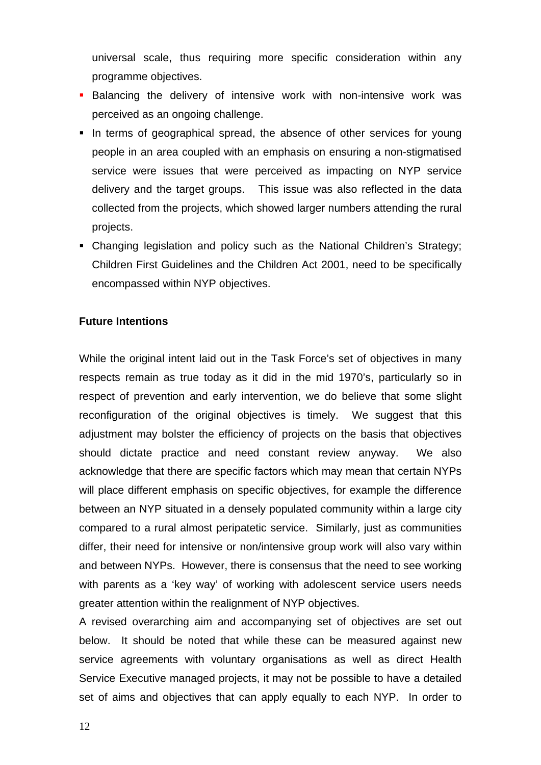universal scale, thus requiring more specific consideration within any programme objectives.

- **Balancing the delivery of intensive work with non-intensive work was** perceived as an ongoing challenge.
- In terms of geographical spread, the absence of other services for young people in an area coupled with an emphasis on ensuring a non-stigmatised service were issues that were perceived as impacting on NYP service delivery and the target groups. This issue was also reflected in the data collected from the projects, which showed larger numbers attending the rural projects.
- Changing legislation and policy such as the National Children's Strategy; Children First Guidelines and the Children Act 2001, need to be specifically encompassed within NYP objectives.

# **Future Intentions**

While the original intent laid out in the Task Force's set of objectives in many respects remain as true today as it did in the mid 1970's, particularly so in respect of prevention and early intervention, we do believe that some slight reconfiguration of the original objectives is timely. We suggest that this adjustment may bolster the efficiency of projects on the basis that objectives should dictate practice and need constant review anyway. We also acknowledge that there are specific factors which may mean that certain NYPs will place different emphasis on specific objectives, for example the difference between an NYP situated in a densely populated community within a large city compared to a rural almost peripatetic service. Similarly, just as communities differ, their need for intensive or non/intensive group work will also vary within and between NYPs. However, there is consensus that the need to see working with parents as a 'key way' of working with adolescent service users needs greater attention within the realignment of NYP objectives.

A revised overarching aim and accompanying set of objectives are set out below. It should be noted that while these can be measured against new service agreements with voluntary organisations as well as direct Health Service Executive managed projects, it may not be possible to have a detailed set of aims and objectives that can apply equally to each NYP. In order to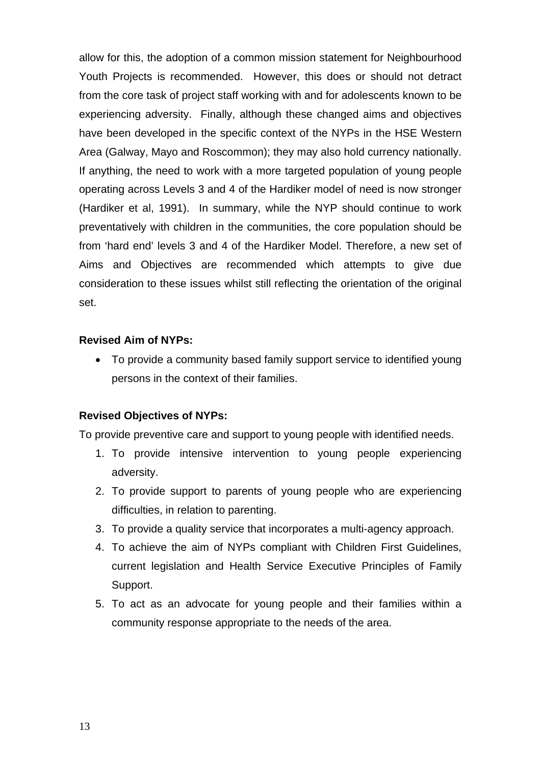allow for this, the adoption of a common mission statement for Neighbourhood Youth Projects is recommended. However, this does or should not detract from the core task of project staff working with and for adolescents known to be experiencing adversity. Finally, although these changed aims and objectives have been developed in the specific context of the NYPs in the HSE Western Area (Galway, Mayo and Roscommon); they may also hold currency nationally. If anything, the need to work with a more targeted population of young people operating across Levels 3 and 4 of the Hardiker model of need is now stronger (Hardiker et al, 1991). In summary, while the NYP should continue to work preventatively with children in the communities, the core population should be from 'hard end' levels 3 and 4 of the Hardiker Model. Therefore, a new set of Aims and Objectives are recommended which attempts to give due consideration to these issues whilst still reflecting the orientation of the original set.

# **Revised Aim of NYPs:**

• To provide a community based family support service to identified young persons in the context of their families.

# **Revised Objectives of NYPs:**

To provide preventive care and support to young people with identified needs.

- 1. To provide intensive intervention to young people experiencing adversity.
- 2. To provide support to parents of young people who are experiencing difficulties, in relation to parenting.
- 3. To provide a quality service that incorporates a multi-agency approach.
- 4. To achieve the aim of NYPs compliant with Children First Guidelines, current legislation and Health Service Executive Principles of Family Support.
- 5. To act as an advocate for young people and their families within a community response appropriate to the needs of the area.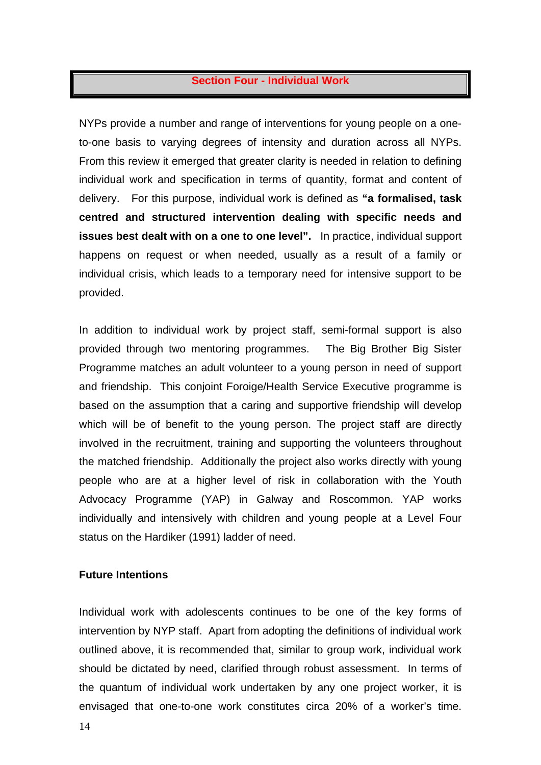# **Section Four - Individual Work**

NYPs provide a number and range of interventions for young people on a oneto-one basis to varying degrees of intensity and duration across all NYPs. From this review it emerged that greater clarity is needed in relation to defining individual work and specification in terms of quantity, format and content of delivery. For this purpose, individual work is defined as **"a formalised, task centred and structured intervention dealing with specific needs and issues best dealt with on a one to one level".** In practice, individual support happens on request or when needed, usually as a result of a family or individual crisis, which leads to a temporary need for intensive support to be provided.

In addition to individual work by project staff, semi-formal support is also provided through two mentoring programmes. The Big Brother Big Sister Programme matches an adult volunteer to a young person in need of support and friendship. This conjoint Foroige/Health Service Executive programme is based on the assumption that a caring and supportive friendship will develop which will be of benefit to the young person. The project staff are directly involved in the recruitment, training and supporting the volunteers throughout the matched friendship. Additionally the project also works directly with young people who are at a higher level of risk in collaboration with the Youth Advocacy Programme (YAP) in Galway and Roscommon. YAP works individually and intensively with children and young people at a Level Four status on the Hardiker (1991) ladder of need.

#### **Future Intentions**

Individual work with adolescents continues to be one of the key forms of intervention by NYP staff. Apart from adopting the definitions of individual work outlined above, it is recommended that, similar to group work, individual work should be dictated by need, clarified through robust assessment. In terms of the quantum of individual work undertaken by any one project worker, it is envisaged that one-to-one work constitutes circa 20% of a worker's time.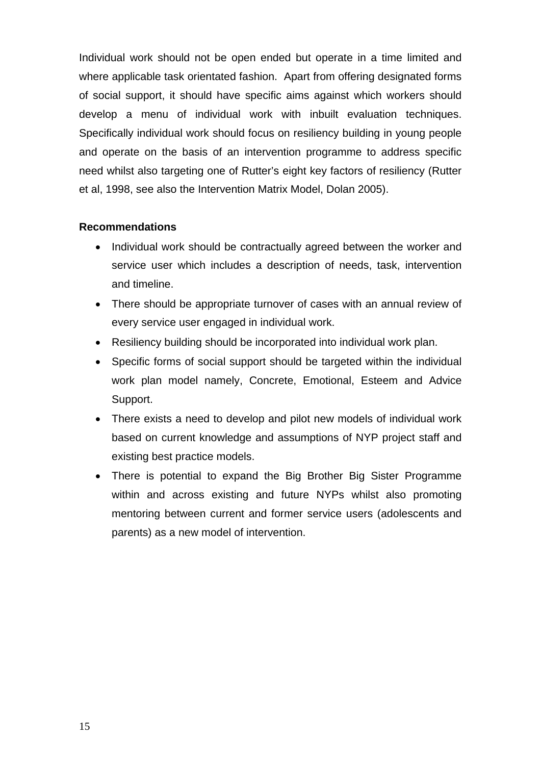Individual work should not be open ended but operate in a time limited and where applicable task orientated fashion. Apart from offering designated forms of social support, it should have specific aims against which workers should develop a menu of individual work with inbuilt evaluation techniques. Specifically individual work should focus on resiliency building in young people and operate on the basis of an intervention programme to address specific need whilst also targeting one of Rutter's eight key factors of resiliency (Rutter et al, 1998, see also the Intervention Matrix Model, Dolan 2005).

# **Recommendations**

- Individual work should be contractually agreed between the worker and service user which includes a description of needs, task, intervention and timeline.
- There should be appropriate turnover of cases with an annual review of every service user engaged in individual work.
- Resiliency building should be incorporated into individual work plan.
- Specific forms of social support should be targeted within the individual work plan model namely, Concrete, Emotional, Esteem and Advice Support.
- There exists a need to develop and pilot new models of individual work based on current knowledge and assumptions of NYP project staff and existing best practice models.
- There is potential to expand the Big Brother Big Sister Programme within and across existing and future NYPs whilst also promoting mentoring between current and former service users (adolescents and parents) as a new model of intervention.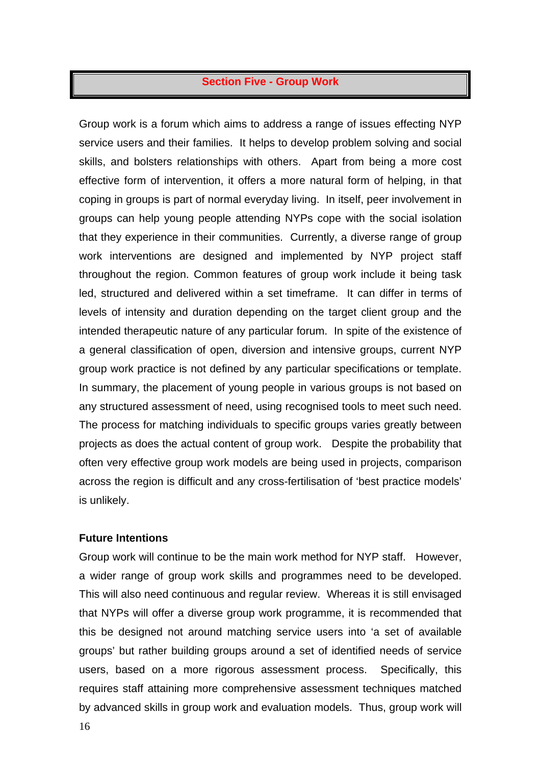# **Section Five - Group Work**

Group work is a forum which aims to address a range of issues effecting NYP service users and their families. It helps to develop problem solving and social skills, and bolsters relationships with others. Apart from being a more cost effective form of intervention, it offers a more natural form of helping, in that coping in groups is part of normal everyday living. In itself, peer involvement in groups can help young people attending NYPs cope with the social isolation that they experience in their communities. Currently, a diverse range of group work interventions are designed and implemented by NYP project staff throughout the region. Common features of group work include it being task led, structured and delivered within a set timeframe. It can differ in terms of levels of intensity and duration depending on the target client group and the intended therapeutic nature of any particular forum. In spite of the existence of a general classification of open, diversion and intensive groups, current NYP group work practice is not defined by any particular specifications or template. In summary, the placement of young people in various groups is not based on any structured assessment of need, using recognised tools to meet such need. The process for matching individuals to specific groups varies greatly between projects as does the actual content of group work. Despite the probability that often very effective group work models are being used in projects, comparison across the region is difficult and any cross-fertilisation of 'best practice models' is unlikely.

#### **Future Intentions**

Group work will continue to be the main work method for NYP staff. However, a wider range of group work skills and programmes need to be developed. This will also need continuous and regular review. Whereas it is still envisaged that NYPs will offer a diverse group work programme, it is recommended that this be designed not around matching service users into 'a set of available groups' but rather building groups around a set of identified needs of service users, based on a more rigorous assessment process. Specifically, this requires staff attaining more comprehensive assessment techniques matched by advanced skills in group work and evaluation models. Thus, group work will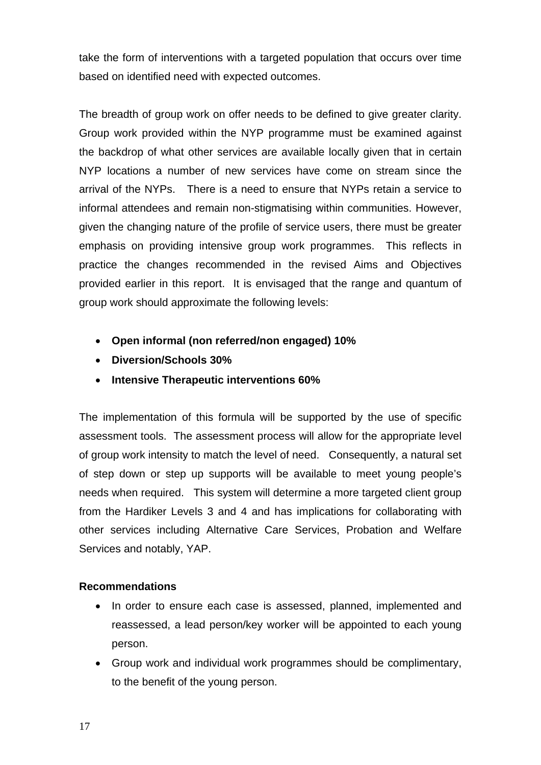take the form of interventions with a targeted population that occurs over time based on identified need with expected outcomes.

The breadth of group work on offer needs to be defined to give greater clarity. Group work provided within the NYP programme must be examined against the backdrop of what other services are available locally given that in certain NYP locations a number of new services have come on stream since the arrival of the NYPs. There is a need to ensure that NYPs retain a service to informal attendees and remain non-stigmatising within communities. However, given the changing nature of the profile of service users, there must be greater emphasis on providing intensive group work programmes. This reflects in practice the changes recommended in the revised Aims and Objectives provided earlier in this report. It is envisaged that the range and quantum of group work should approximate the following levels:

- **Open informal (non referred/non engaged) 10%**
- **Diversion/Schools 30%**
- **Intensive Therapeutic interventions 60%**

The implementation of this formula will be supported by the use of specific assessment tools. The assessment process will allow for the appropriate level of group work intensity to match the level of need. Consequently, a natural set of step down or step up supports will be available to meet young people's needs when required. This system will determine a more targeted client group from the Hardiker Levels 3 and 4 and has implications for collaborating with other services including Alternative Care Services, Probation and Welfare Services and notably, YAP.

# **Recommendations**

- In order to ensure each case is assessed, planned, implemented and reassessed, a lead person/key worker will be appointed to each young person.
- Group work and individual work programmes should be complimentary, to the benefit of the young person.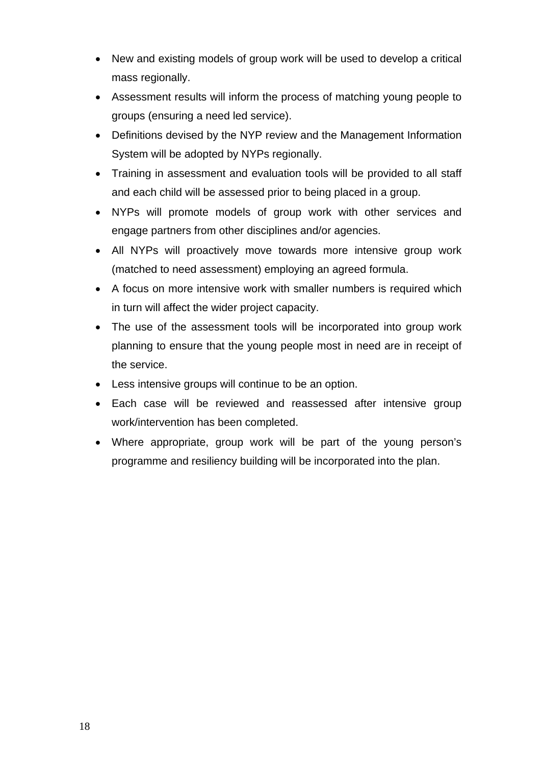- New and existing models of group work will be used to develop a critical mass regionally.
- Assessment results will inform the process of matching young people to groups (ensuring a need led service).
- Definitions devised by the NYP review and the Management Information System will be adopted by NYPs regionally.
- Training in assessment and evaluation tools will be provided to all staff and each child will be assessed prior to being placed in a group.
- NYPs will promote models of group work with other services and engage partners from other disciplines and/or agencies.
- All NYPs will proactively move towards more intensive group work (matched to need assessment) employing an agreed formula.
- A focus on more intensive work with smaller numbers is required which in turn will affect the wider project capacity.
- The use of the assessment tools will be incorporated into group work planning to ensure that the young people most in need are in receipt of the service.
- Less intensive groups will continue to be an option.
- Each case will be reviewed and reassessed after intensive group work/intervention has been completed.
- Where appropriate, group work will be part of the young person's programme and resiliency building will be incorporated into the plan.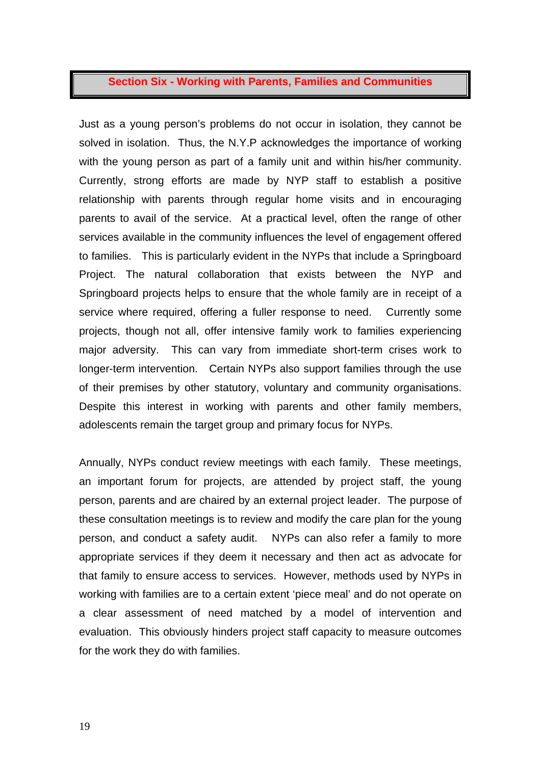## **Section Six - Working with Parents, Families and Communities**

Just as a young person's problems do not occur in isolation, they cannot be solved in isolation. Thus, the N.Y.P acknowledges the importance of working with the young person as part of a family unit and within his/her community. Currently, strong efforts are made by NYP staff to establish a positive relationship with parents through regular home visits and in encouraging parents to avail of the service. At a practical level, often the range of other services available in the community influences the level of engagement offered to families. This is particularly evident in the NYPs that include a Springboard Project. The natural collaboration that exists between the NYP and Springboard projects helps to ensure that the whole family are in receipt of a service where required, offering a fuller response to need. Currently some projects, though not all, offer intensive family work to families experiencing major adversity. This can vary from immediate short-term crises work to longer-term intervention. Certain NYPs also support families through the use of their premises by other statutory, voluntary and community organisations. Despite this interest in working with parents and other family members, adolescents remain the target group and primary focus for NYPs.

Annually, NYPs conduct review meetings with each family. These meetings, an important forum for projects, are attended by project staff, the young person, parents and are chaired by an external project leader. The purpose of these consultation meetings is to review and modify the care plan for the young person, and conduct a safety audit. NYPs can also refer a family to more appropriate services if they deem it necessary and then act as advocate for that family to ensure access to services. However, methods used by NYPs in working with families are to a certain extent 'piece meal' and do not operate on a clear assessment of need matched by a model of intervention and evaluation. This obviously hinders project staff capacity to measure outcomes for the work they do with families.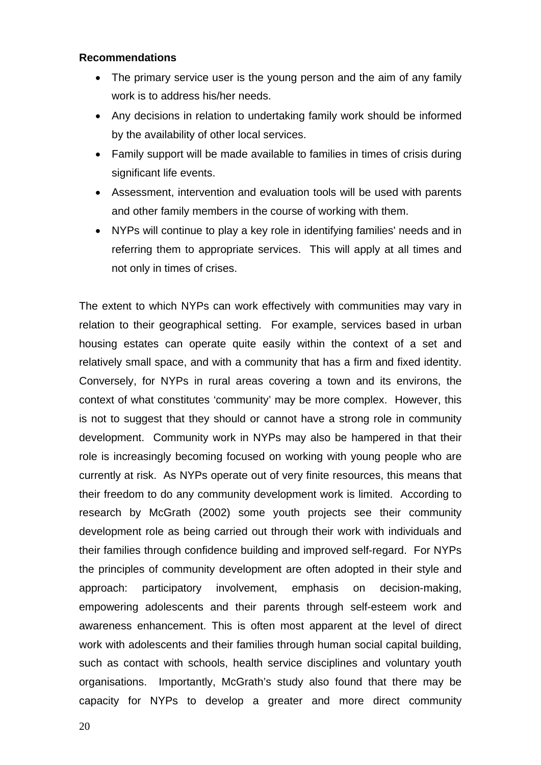#### **Recommendations**

- The primary service user is the young person and the aim of any family work is to address his/her needs.
- Any decisions in relation to undertaking family work should be informed by the availability of other local services.
- Family support will be made available to families in times of crisis during significant life events.
- Assessment, intervention and evaluation tools will be used with parents and other family members in the course of working with them.
- NYPs will continue to play a key role in identifying families' needs and in referring them to appropriate services. This will apply at all times and not only in times of crises.

The extent to which NYPs can work effectively with communities may vary in relation to their geographical setting. For example, services based in urban housing estates can operate quite easily within the context of a set and relatively small space, and with a community that has a firm and fixed identity. Conversely, for NYPs in rural areas covering a town and its environs, the context of what constitutes 'community' may be more complex. However, this is not to suggest that they should or cannot have a strong role in community development. Community work in NYPs may also be hampered in that their role is increasingly becoming focused on working with young people who are currently at risk. As NYPs operate out of very finite resources, this means that their freedom to do any community development work is limited. According to research by McGrath (2002) some youth projects see their community development role as being carried out through their work with individuals and their families through confidence building and improved self-regard. For NYPs the principles of community development are often adopted in their style and approach: participatory involvement, emphasis on decision-making, empowering adolescents and their parents through self-esteem work and awareness enhancement. This is often most apparent at the level of direct work with adolescents and their families through human social capital building, such as contact with schools, health service disciplines and voluntary youth organisations. Importantly, McGrath's study also found that there may be capacity for NYPs to develop a greater and more direct community

20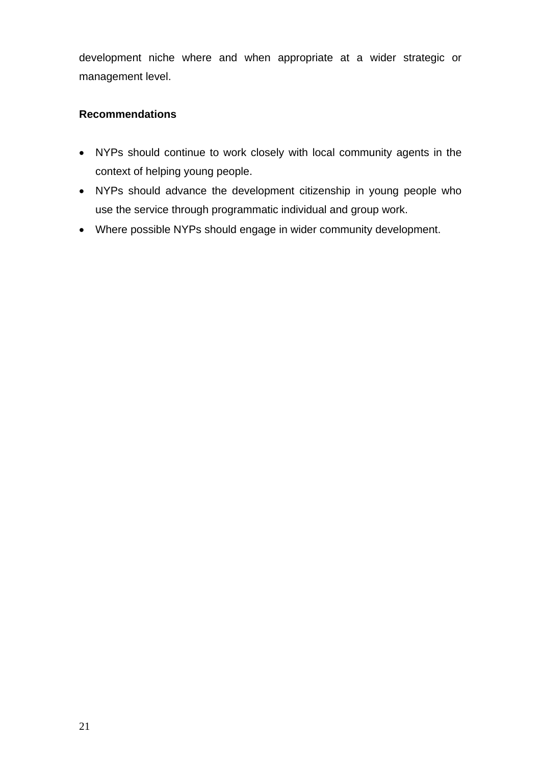development niche where and when appropriate at a wider strategic or management level.

# **Recommendations**

- NYPs should continue to work closely with local community agents in the context of helping young people.
- NYPs should advance the development citizenship in young people who use the service through programmatic individual and group work.
- Where possible NYPs should engage in wider community development.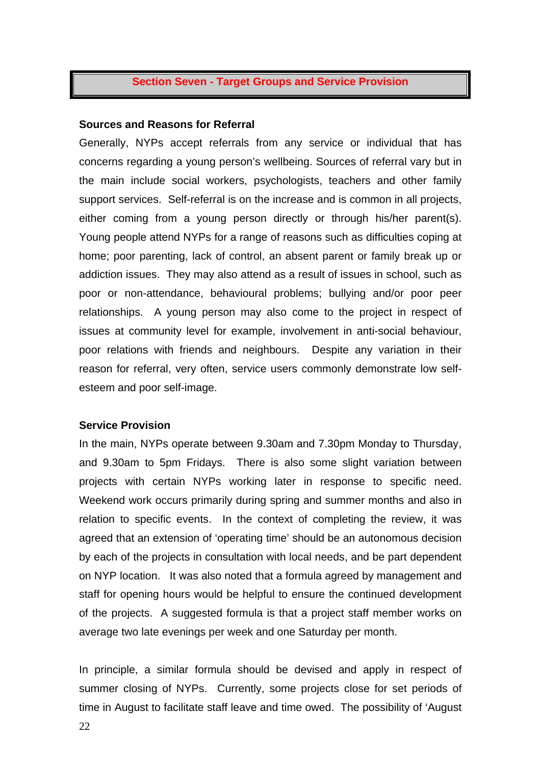# **Section Seven - Target Groups and Service Provision**

#### **Sources and Reasons for Referral**

Generally, NYPs accept referrals from any service or individual that has concerns regarding a young person's wellbeing. Sources of referral vary but in the main include social workers, psychologists, teachers and other family support services. Self-referral is on the increase and is common in all projects, either coming from a young person directly or through his/her parent(s). Young people attend NYPs for a range of reasons such as difficulties coping at home; poor parenting, lack of control, an absent parent or family break up or addiction issues. They may also attend as a result of issues in school, such as poor or non-attendance, behavioural problems; bullying and/or poor peer relationships. A young person may also come to the project in respect of issues at community level for example, involvement in anti-social behaviour, poor relations with friends and neighbours. Despite any variation in their reason for referral, very often, service users commonly demonstrate low selfesteem and poor self-image.

#### **Service Provision**

In the main, NYPs operate between 9.30am and 7.30pm Monday to Thursday, and 9.30am to 5pm Fridays. There is also some slight variation between projects with certain NYPs working later in response to specific need. Weekend work occurs primarily during spring and summer months and also in relation to specific events. In the context of completing the review, it was agreed that an extension of 'operating time' should be an autonomous decision by each of the projects in consultation with local needs, and be part dependent on NYP location. It was also noted that a formula agreed by management and staff for opening hours would be helpful to ensure the continued development of the projects. A suggested formula is that a project staff member works on average two late evenings per week and one Saturday per month.

In principle, a similar formula should be devised and apply in respect of summer closing of NYPs. Currently, some projects close for set periods of time in August to facilitate staff leave and time owed. The possibility of 'August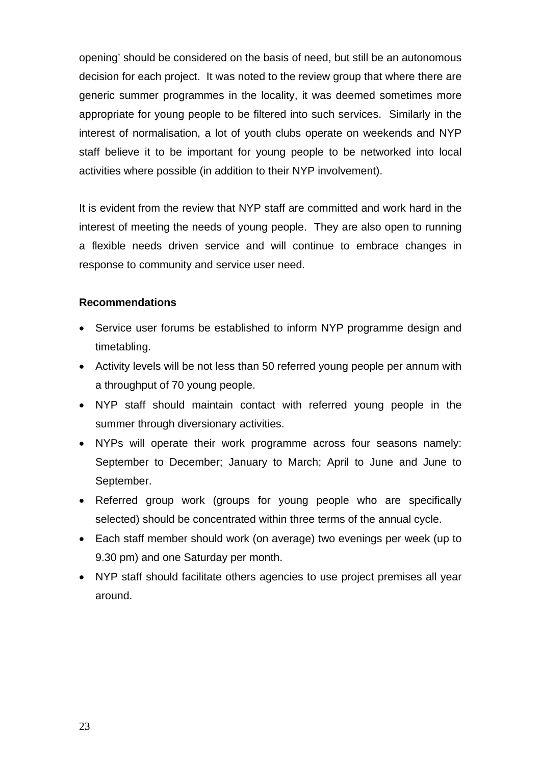opening' should be considered on the basis of need, but still be an autonomous decision for each project. It was noted to the review group that where there are generic summer programmes in the locality, it was deemed sometimes more appropriate for young people to be filtered into such services. Similarly in the interest of normalisation, a lot of youth clubs operate on weekends and NYP staff believe it to be important for young people to be networked into local activities where possible (in addition to their NYP involvement).

It is evident from the review that NYP staff are committed and work hard in the interest of meeting the needs of young people. They are also open to running a flexible needs driven service and will continue to embrace changes in response to community and service user need.

# **Recommendations**

- Service user forums be established to inform NYP programme design and timetabling.
- Activity levels will be not less than 50 referred young people per annum with a throughput of 70 young people.
- NYP staff should maintain contact with referred young people in the summer through diversionary activities.
- NYPs will operate their work programme across four seasons namely: September to December; January to March; April to June and June to September.
- Referred group work (groups for young people who are specifically selected) should be concentrated within three terms of the annual cycle.
- Each staff member should work (on average) two evenings per week (up to 9.30 pm) and one Saturday per month.
- NYP staff should facilitate others agencies to use project premises all year around.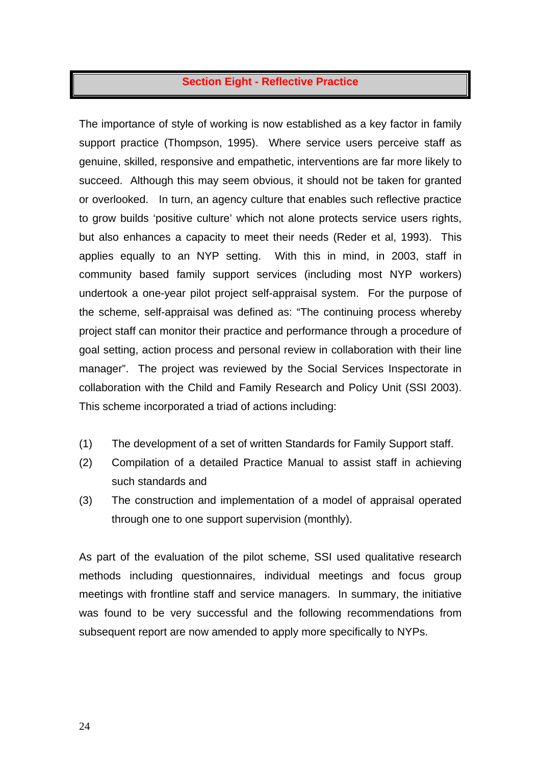# **Section Eight - Reflective Practice**

The importance of style of working is now established as a key factor in family support practice (Thompson, 1995). Where service users perceive staff as genuine, skilled, responsive and empathetic, interventions are far more likely to succeed. Although this may seem obvious, it should not be taken for granted or overlooked. In turn, an agency culture that enables such reflective practice to grow builds 'positive culture' which not alone protects service users rights, but also enhances a capacity to meet their needs (Reder et al, 1993). This applies equally to an NYP setting. With this in mind, in 2003, staff in community based family support services (including most NYP workers) undertook a one-year pilot project self-appraisal system. For the purpose of the scheme, self-appraisal was defined as: "The continuing process whereby project staff can monitor their practice and performance through a procedure of goal setting, action process and personal review in collaboration with their line manager". The project was reviewed by the Social Services Inspectorate in collaboration with the Child and Family Research and Policy Unit (SSI 2003). This scheme incorporated a triad of actions including:

- (1) The development of a set of written Standards for Family Support staff.
- (2) Compilation of a detailed Practice Manual to assist staff in achieving such standards and
- (3) The construction and implementation of a model of appraisal operated through one to one support supervision (monthly).

As part of the evaluation of the pilot scheme, SSI used qualitative research methods including questionnaires, individual meetings and focus group meetings with frontline staff and service managers. In summary, the initiative was found to be very successful and the following recommendations from subsequent report are now amended to apply more specifically to NYPs.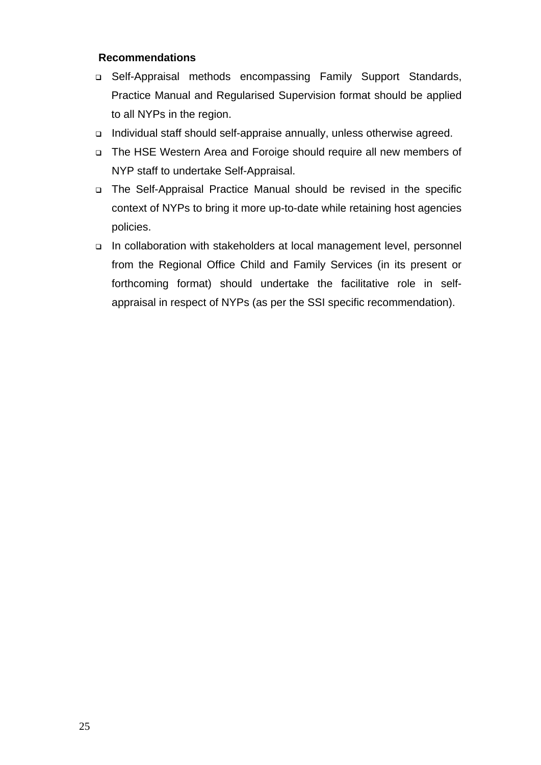# **Recommendations**

- Self-Appraisal methods encompassing Family Support Standards, Practice Manual and Regularised Supervision format should be applied to all NYPs in the region.
- □ Individual staff should self-appraise annually, unless otherwise agreed.
- The HSE Western Area and Foroige should require all new members of NYP staff to undertake Self-Appraisal.
- The Self-Appraisal Practice Manual should be revised in the specific context of NYPs to bring it more up-to-date while retaining host agencies policies.
- In collaboration with stakeholders at local management level, personnel from the Regional Office Child and Family Services (in its present or forthcoming format) should undertake the facilitative role in selfappraisal in respect of NYPs (as per the SSI specific recommendation).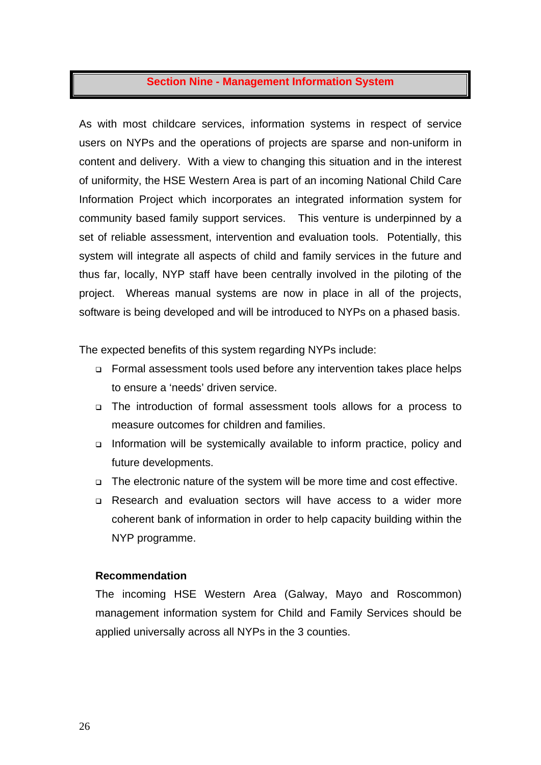## **Section Nine - Management Information System**

As with most childcare services, information systems in respect of service users on NYPs and the operations of projects are sparse and non-uniform in content and delivery. With a view to changing this situation and in the interest of uniformity, the HSE Western Area is part of an incoming National Child Care Information Project which incorporates an integrated information system for community based family support services. This venture is underpinned by a set of reliable assessment, intervention and evaluation tools. Potentially, this system will integrate all aspects of child and family services in the future and thus far, locally, NYP staff have been centrally involved in the piloting of the project. Whereas manual systems are now in place in all of the projects, software is being developed and will be introduced to NYPs on a phased basis.

The expected benefits of this system regarding NYPs include:

- Formal assessment tools used before any intervention takes place helps to ensure a 'needs' driven service.
- The introduction of formal assessment tools allows for a process to measure outcomes for children and families.
- Information will be systemically available to inform practice, policy and future developments.
- The electronic nature of the system will be more time and cost effective.
- Research and evaluation sectors will have access to a wider more coherent bank of information in order to help capacity building within the NYP programme.

#### **Recommendation**

The incoming HSE Western Area (Galway, Mayo and Roscommon) management information system for Child and Family Services should be applied universally across all NYPs in the 3 counties.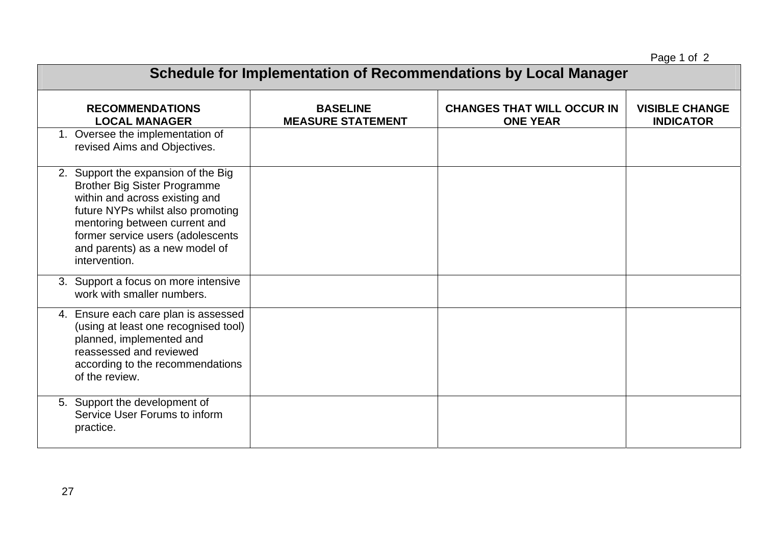Page 1 of 2

| $1$ agu $1$ ul $2$<br>Schedule for Implementation of Recommendations by Local Manager                                                                                                                                                                                      |                                             |                                                      |                                           |
|----------------------------------------------------------------------------------------------------------------------------------------------------------------------------------------------------------------------------------------------------------------------------|---------------------------------------------|------------------------------------------------------|-------------------------------------------|
| <b>RECOMMENDATIONS</b><br><b>LOCAL MANAGER</b>                                                                                                                                                                                                                             | <b>BASELINE</b><br><b>MEASURE STATEMENT</b> | <b>CHANGES THAT WILL OCCUR IN</b><br><b>ONE YEAR</b> | <b>VISIBLE CHANGE</b><br><b>INDICATOR</b> |
| 1. Oversee the implementation of<br>revised Aims and Objectives.                                                                                                                                                                                                           |                                             |                                                      |                                           |
| 2. Support the expansion of the Big<br><b>Brother Big Sister Programme</b><br>within and across existing and<br>future NYPs whilst also promoting<br>mentoring between current and<br>former service users (adolescents<br>and parents) as a new model of<br>intervention. |                                             |                                                      |                                           |
| 3. Support a focus on more intensive<br>work with smaller numbers.                                                                                                                                                                                                         |                                             |                                                      |                                           |
| 4. Ensure each care plan is assessed<br>(using at least one recognised tool)<br>planned, implemented and<br>reassessed and reviewed<br>according to the recommendations<br>of the review.                                                                                  |                                             |                                                      |                                           |
| 5. Support the development of<br>Service User Forums to inform<br>practice.                                                                                                                                                                                                |                                             |                                                      |                                           |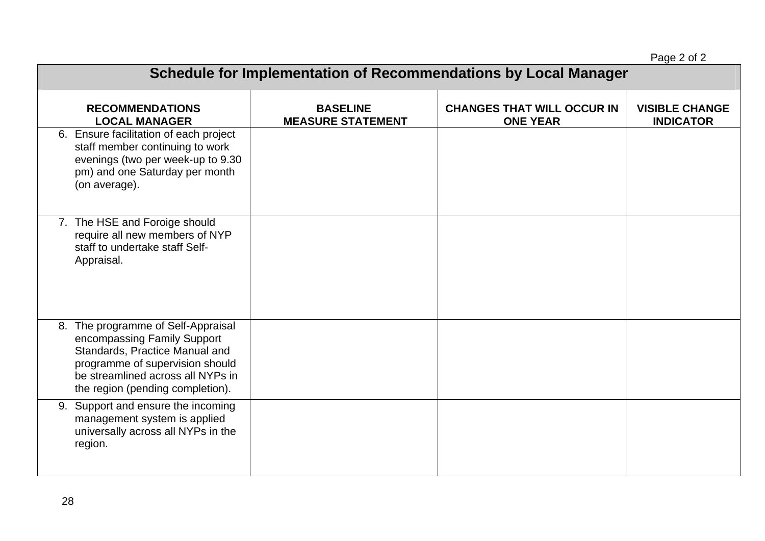|                                                                                                                                                                                                                 |                                             |                                                      | Page 2 of 2                               |
|-----------------------------------------------------------------------------------------------------------------------------------------------------------------------------------------------------------------|---------------------------------------------|------------------------------------------------------|-------------------------------------------|
| Schedule for Implementation of Recommendations by Local Manager                                                                                                                                                 |                                             |                                                      |                                           |
| <b>RECOMMENDATIONS</b><br><b>LOCAL MANAGER</b>                                                                                                                                                                  | <b>BASELINE</b><br><b>MEASURE STATEMENT</b> | <b>CHANGES THAT WILL OCCUR IN</b><br><b>ONE YEAR</b> | <b>VISIBLE CHANGE</b><br><b>INDICATOR</b> |
| 6. Ensure facilitation of each project<br>staff member continuing to work<br>evenings (two per week-up to 9.30<br>pm) and one Saturday per month<br>(on average).                                               |                                             |                                                      |                                           |
| 7. The HSE and Foroige should<br>require all new members of NYP<br>staff to undertake staff Self-<br>Appraisal.                                                                                                 |                                             |                                                      |                                           |
| 8. The programme of Self-Appraisal<br>encompassing Family Support<br>Standards, Practice Manual and<br>programme of supervision should<br>be streamlined across all NYPs in<br>the region (pending completion). |                                             |                                                      |                                           |
| 9. Support and ensure the incoming<br>management system is applied<br>universally across all NYPs in the<br>region.                                                                                             |                                             |                                                      |                                           |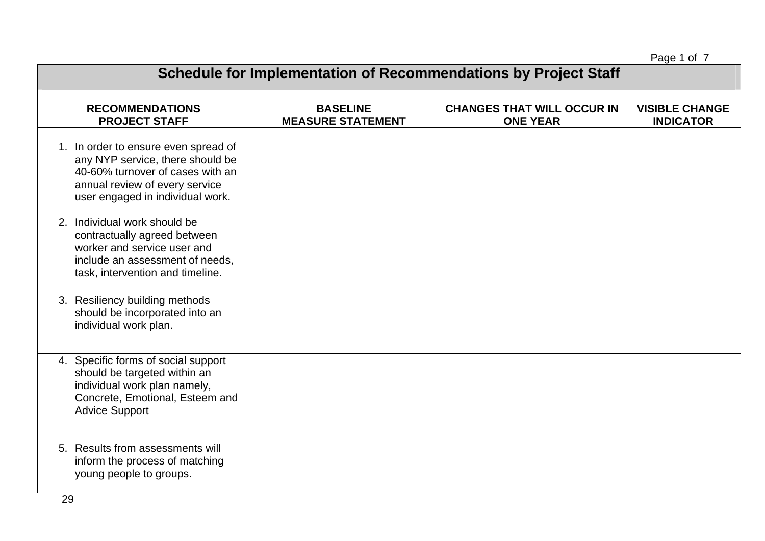Page 1 of 7

| . ugu . u. .<br><b>Schedule for Implementation of Recommendations by Project Staff</b>                                                                                             |                                             |                                                      |                                           |  |
|------------------------------------------------------------------------------------------------------------------------------------------------------------------------------------|---------------------------------------------|------------------------------------------------------|-------------------------------------------|--|
| <b>RECOMMENDATIONS</b><br><b>PROJECT STAFF</b>                                                                                                                                     | <b>BASELINE</b><br><b>MEASURE STATEMENT</b> | <b>CHANGES THAT WILL OCCUR IN</b><br><b>ONE YEAR</b> | <b>VISIBLE CHANGE</b><br><b>INDICATOR</b> |  |
| 1. In order to ensure even spread of<br>any NYP service, there should be<br>40-60% turnover of cases with an<br>annual review of every service<br>user engaged in individual work. |                                             |                                                      |                                           |  |
| 2. Individual work should be<br>contractually agreed between<br>worker and service user and<br>include an assessment of needs,<br>task, intervention and timeline.                 |                                             |                                                      |                                           |  |
| 3. Resiliency building methods<br>should be incorporated into an<br>individual work plan.                                                                                          |                                             |                                                      |                                           |  |
| 4. Specific forms of social support<br>should be targeted within an<br>individual work plan namely,<br>Concrete, Emotional, Esteem and<br><b>Advice Support</b>                    |                                             |                                                      |                                           |  |
| 5. Results from assessments will<br>inform the process of matching<br>young people to groups.                                                                                      |                                             |                                                      |                                           |  |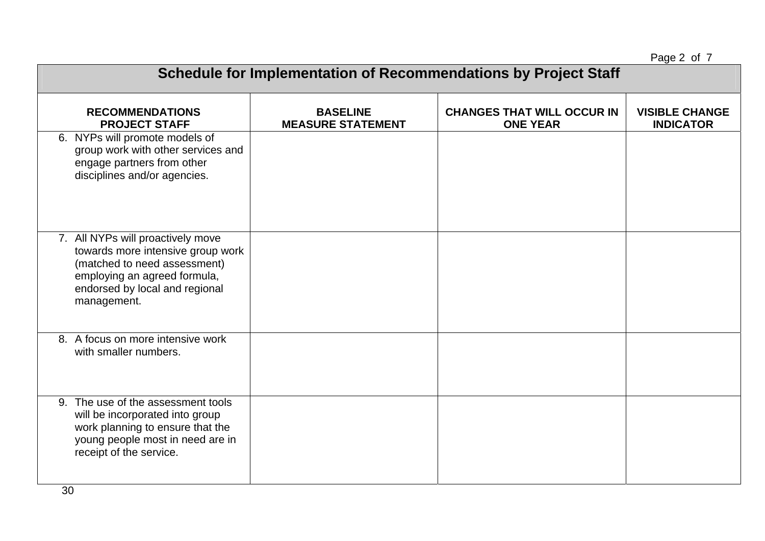Page 2 of 7

| $.490 - .1$<br><b>Schedule for Implementation of Recommendations by Project Staff</b>                                                                                                   |                                             |                                                      |                                           |  |
|-----------------------------------------------------------------------------------------------------------------------------------------------------------------------------------------|---------------------------------------------|------------------------------------------------------|-------------------------------------------|--|
| <b>RECOMMENDATIONS</b><br><b>PROJECT STAFF</b><br>6. NYPs will promote models of<br>group work with other services and                                                                  | <b>BASELINE</b><br><b>MEASURE STATEMENT</b> | <b>CHANGES THAT WILL OCCUR IN</b><br><b>ONE YEAR</b> | <b>VISIBLE CHANGE</b><br><b>INDICATOR</b> |  |
| engage partners from other<br>disciplines and/or agencies.                                                                                                                              |                                             |                                                      |                                           |  |
| 7. All NYPs will proactively move<br>towards more intensive group work<br>(matched to need assessment)<br>employing an agreed formula,<br>endorsed by local and regional<br>management. |                                             |                                                      |                                           |  |
| 8. A focus on more intensive work<br>with smaller numbers.                                                                                                                              |                                             |                                                      |                                           |  |
| 9. The use of the assessment tools<br>will be incorporated into group<br>work planning to ensure that the<br>young people most in need are in<br>receipt of the service.                |                                             |                                                      |                                           |  |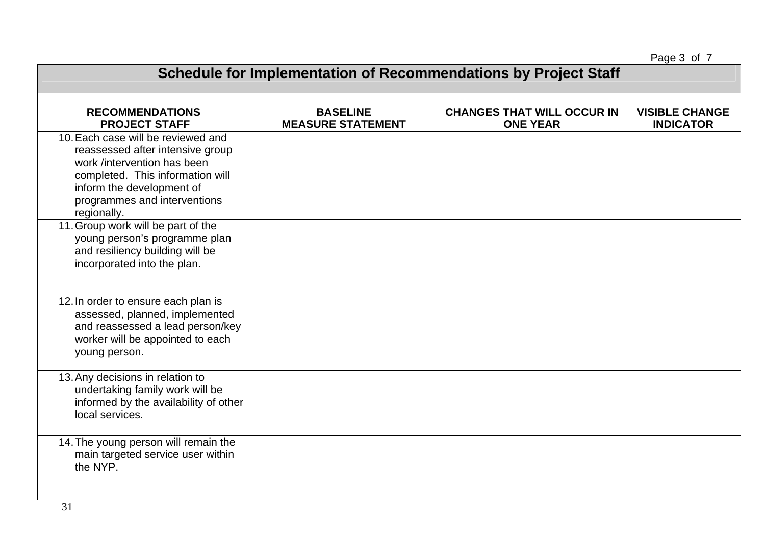Page 3 of 7

| <b>Schedule for Implementation of Recommendations by Project Staff</b>                                                                                                                                                |                                             |                                                      |                                           |  |
|-----------------------------------------------------------------------------------------------------------------------------------------------------------------------------------------------------------------------|---------------------------------------------|------------------------------------------------------|-------------------------------------------|--|
| <b>RECOMMENDATIONS</b><br><b>PROJECT STAFF</b>                                                                                                                                                                        | <b>BASELINE</b><br><b>MEASURE STATEMENT</b> | <b>CHANGES THAT WILL OCCUR IN</b><br><b>ONE YEAR</b> | <b>VISIBLE CHANGE</b><br><b>INDICATOR</b> |  |
| 10. Each case will be reviewed and<br>reassessed after intensive group<br>work /intervention has been<br>completed. This information will<br>inform the development of<br>programmes and interventions<br>regionally. |                                             |                                                      |                                           |  |
| 11. Group work will be part of the<br>young person's programme plan<br>and resiliency building will be<br>incorporated into the plan.                                                                                 |                                             |                                                      |                                           |  |
| 12. In order to ensure each plan is<br>assessed, planned, implemented<br>and reassessed a lead person/key<br>worker will be appointed to each<br>young person.                                                        |                                             |                                                      |                                           |  |
| 13. Any decisions in relation to<br>undertaking family work will be<br>informed by the availability of other<br>local services.                                                                                       |                                             |                                                      |                                           |  |
| 14. The young person will remain the<br>main targeted service user within<br>the NYP.                                                                                                                                 |                                             |                                                      |                                           |  |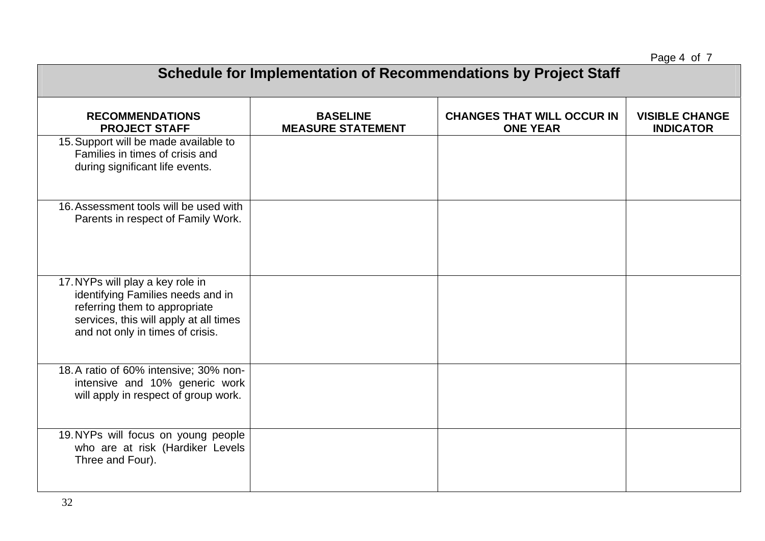Page 4 of 7

| <b>Schedule for Implementation of Recommendations by Project Staff</b>                                                                                                               |                                             |                                                      |                                           |  |
|--------------------------------------------------------------------------------------------------------------------------------------------------------------------------------------|---------------------------------------------|------------------------------------------------------|-------------------------------------------|--|
| <b>RECOMMENDATIONS</b><br><b>PROJECT STAFF</b>                                                                                                                                       | <b>BASELINE</b><br><b>MEASURE STATEMENT</b> | <b>CHANGES THAT WILL OCCUR IN</b><br><b>ONE YEAR</b> | <b>VISIBLE CHANGE</b><br><b>INDICATOR</b> |  |
| 15. Support will be made available to<br>Families in times of crisis and<br>during significant life events.                                                                          |                                             |                                                      |                                           |  |
| 16. Assessment tools will be used with<br>Parents in respect of Family Work.                                                                                                         |                                             |                                                      |                                           |  |
| 17. NYPs will play a key role in<br>identifying Families needs and in<br>referring them to appropriate<br>services, this will apply at all times<br>and not only in times of crisis. |                                             |                                                      |                                           |  |
| 18.A ratio of 60% intensive; 30% non-<br>intensive and 10% generic work<br>will apply in respect of group work.                                                                      |                                             |                                                      |                                           |  |
| 19. NYPs will focus on young people<br>who are at risk (Hardiker Levels<br>Three and Four).                                                                                          |                                             |                                                      |                                           |  |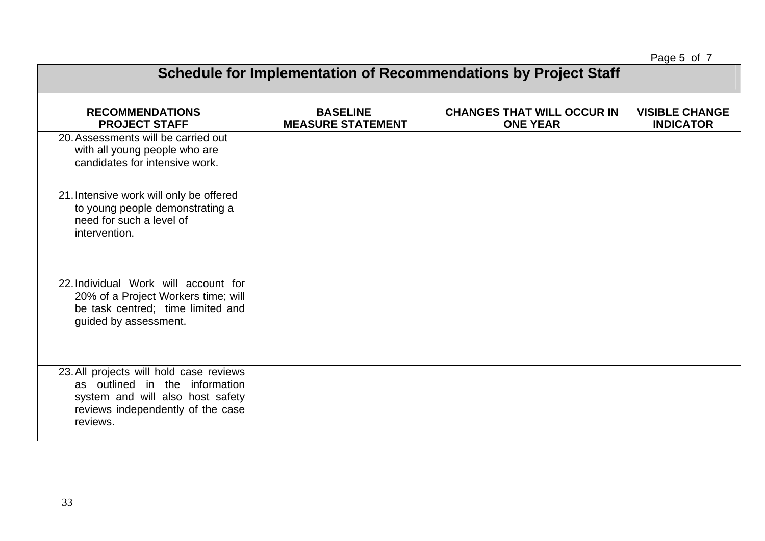Page 5 of 7

| $1$ uyu u u<br>Schedule for Implementation of Recommendations by Project Staff                                                                                 |                                             |                                                      |                                           |  |
|----------------------------------------------------------------------------------------------------------------------------------------------------------------|---------------------------------------------|------------------------------------------------------|-------------------------------------------|--|
| <b>RECOMMENDATIONS</b><br><b>PROJECT STAFF</b>                                                                                                                 | <b>BASELINE</b><br><b>MEASURE STATEMENT</b> | <b>CHANGES THAT WILL OCCUR IN</b><br><b>ONE YEAR</b> | <b>VISIBLE CHANGE</b><br><b>INDICATOR</b> |  |
| 20. Assessments will be carried out<br>with all young people who are<br>candidates for intensive work.                                                         |                                             |                                                      |                                           |  |
| 21. Intensive work will only be offered<br>to young people demonstrating a<br>need for such a level of<br>intervention.                                        |                                             |                                                      |                                           |  |
| 22. Individual Work will account for<br>20% of a Project Workers time; will<br>be task centred; time limited and<br>guided by assessment.                      |                                             |                                                      |                                           |  |
| 23. All projects will hold case reviews<br>as outlined in the information<br>system and will also host safety<br>reviews independently of the case<br>reviews. |                                             |                                                      |                                           |  |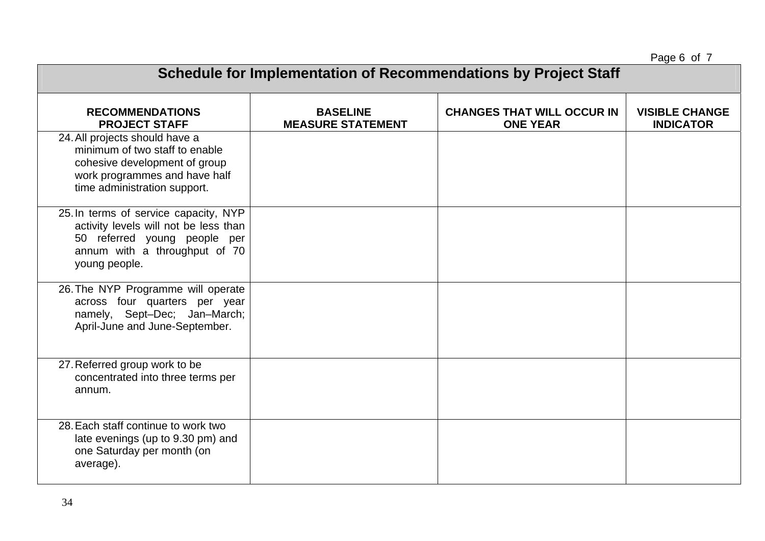Page 6 of 7

| . ago o o. .<br><b>Schedule for Implementation of Recommendations by Project Staff</b>                                                                             |                                             |                                                      |                                           |  |
|--------------------------------------------------------------------------------------------------------------------------------------------------------------------|---------------------------------------------|------------------------------------------------------|-------------------------------------------|--|
| <b>RECOMMENDATIONS</b><br><b>PROJECT STAFF</b>                                                                                                                     | <b>BASELINE</b><br><b>MEASURE STATEMENT</b> | <b>CHANGES THAT WILL OCCUR IN</b><br><b>ONE YEAR</b> | <b>VISIBLE CHANGE</b><br><b>INDICATOR</b> |  |
| 24. All projects should have a<br>minimum of two staff to enable<br>cohesive development of group<br>work programmes and have half<br>time administration support. |                                             |                                                      |                                           |  |
| 25. In terms of service capacity, NYP<br>activity levels will not be less than<br>50 referred young people per<br>annum with a throughput of 70<br>young people.   |                                             |                                                      |                                           |  |
| 26. The NYP Programme will operate<br>across four quarters per year<br>namely, Sept-Dec; Jan-March;<br>April-June and June-September.                              |                                             |                                                      |                                           |  |
| 27. Referred group work to be<br>concentrated into three terms per<br>annum.                                                                                       |                                             |                                                      |                                           |  |
| 28. Each staff continue to work two<br>late evenings (up to 9.30 pm) and<br>one Saturday per month (on<br>average).                                                |                                             |                                                      |                                           |  |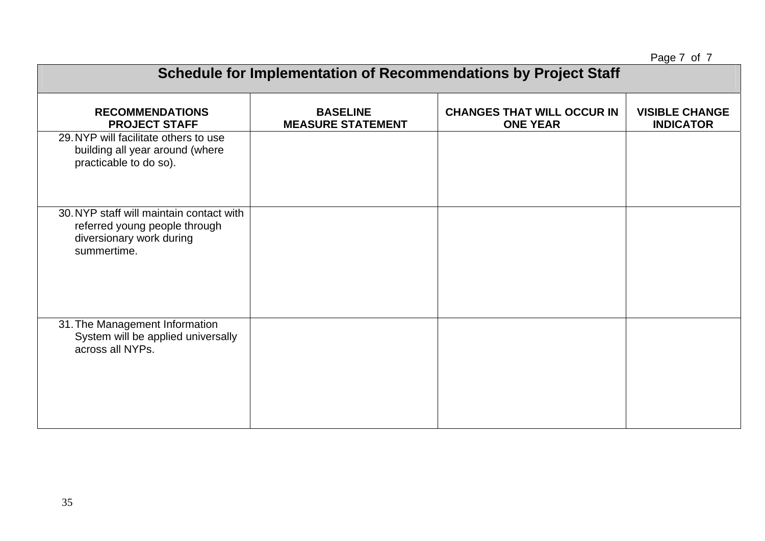Page 7 of 7

| , agu , v, <i>,</i><br>Schedule for Implementation of Recommendations by Project Staff                               |                                             |                                                      |                                           |  |
|----------------------------------------------------------------------------------------------------------------------|---------------------------------------------|------------------------------------------------------|-------------------------------------------|--|
| <b>RECOMMENDATIONS</b><br><b>PROJECT STAFF</b>                                                                       | <b>BASELINE</b><br><b>MEASURE STATEMENT</b> | <b>CHANGES THAT WILL OCCUR IN</b><br><b>ONE YEAR</b> | <b>VISIBLE CHANGE</b><br><b>INDICATOR</b> |  |
| 29. NYP will facilitate others to use<br>building all year around (where<br>practicable to do so).                   |                                             |                                                      |                                           |  |
| 30. NYP staff will maintain contact with<br>referred young people through<br>diversionary work during<br>summertime. |                                             |                                                      |                                           |  |
| 31. The Management Information<br>System will be applied universally<br>across all NYPs.                             |                                             |                                                      |                                           |  |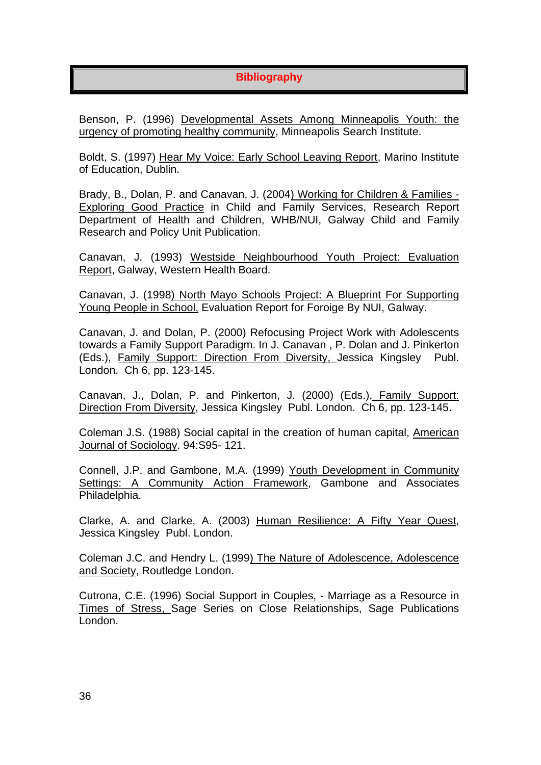# **Bibliography**

Benson, P. (1996) Developmental Assets Among Minneapolis Youth: the urgency of promoting healthy community, Minneapolis Search Institute.

Boldt, S. (1997) Hear My Voice: Early School Leaving Report, Marino Institute of Education, Dublin.

Brady, B., Dolan, P. and Canavan, J. (2004) Working for Children & Families - Exploring Good Practice in Child and Family Services, Research Report Department of Health and Children, WHB/NUI, Galway Child and Family Research and Policy Unit Publication.

Canavan, J. (1993) Westside Neighbourhood Youth Project: Evaluation Report, Galway, Western Health Board.

Canavan, J. (1998) North Mayo Schools Project: A Blueprint For Supporting Young People in School, Evaluation Report for Foroige By NUI, Galway.

Canavan, J. and Dolan, P. (2000) Refocusing Project Work with Adolescents towards a Family Support Paradigm. In J. Canavan , P. Dolan and J. Pinkerton (Eds.), Family Support: Direction From Diversity, Jessica Kingsley Publ. London. Ch 6, pp. 123-145.

Canavan, J., Dolan, P. and Pinkerton, J. (2000) (Eds.), Family Support: Direction From Diversity, Jessica Kingsley Publ. London. Ch 6, pp. 123-145.

Coleman J.S. (1988) Social capital in the creation of human capital, American Journal of Sociology. 94:S95- 121.

Connell, J.P. and Gambone, M.A. (1999) Youth Development in Community Settings: A Community Action Framework, Gambone and Associates Philadelphia.

Clarke, A. and Clarke, A. (2003) Human Resilience: A Fifty Year Quest, Jessica Kingsley Publ. London.

Coleman J.C. and Hendry L. (1999) The Nature of Adolescence, Adolescence and Society, Routledge London.

Cutrona, C.E. (1996) Social Support in Couples, - Marriage as a Resource in Times of Stress, Sage Series on Close Relationships, Sage Publications London.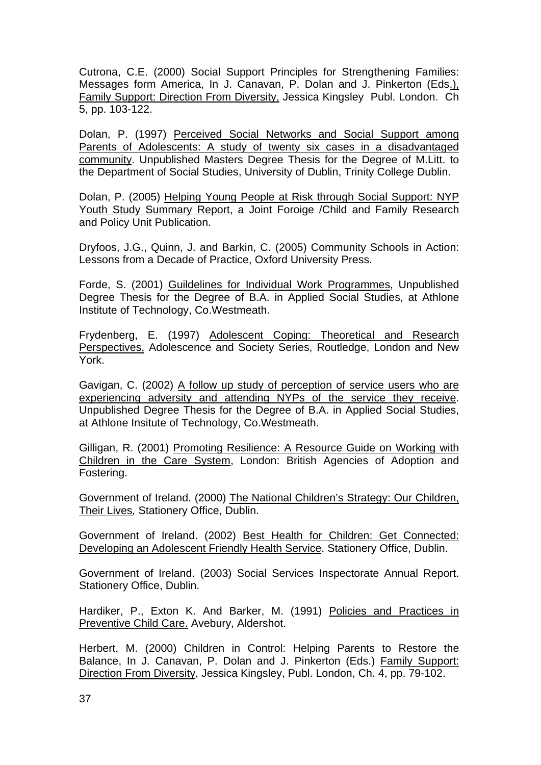Cutrona, C.E. (2000) Social Support Principles for Strengthening Families: Messages form America, In J. Canavan, P. Dolan and J. Pinkerton (Eds.), Family Support: Direction From Diversity, Jessica Kingsley Publ. London. Ch 5, pp. 103-122.

Dolan, P. (1997) Perceived Social Networks and Social Support among Parents of Adolescents: A study of twenty six cases in a disadvantaged community. Unpublished Masters Degree Thesis for the Degree of M.Litt. to the Department of Social Studies, University of Dublin, Trinity College Dublin.

Dolan, P. (2005) Helping Young People at Risk through Social Support: NYP Youth Study Summary Report, a Joint Foroige /Child and Family Research and Policy Unit Publication.

Dryfoos, J.G., Quinn, J. and Barkin, C. (2005) Community Schools in Action: Lessons from a Decade of Practice, Oxford University Press.

Forde, S. (2001) Guildelines for Individual Work Programmes, Unpublished Degree Thesis for the Degree of B.A. in Applied Social Studies, at Athlone Institute of Technology, Co.Westmeath.

Frydenberg, E. (1997) Adolescent Coping: Theoretical and Research Perspectives, Adolescence and Society Series, Routledge, London and New York.

Gavigan, C. (2002) A follow up study of perception of service users who are experiencing adversity and attending NYPs of the service they receive. Unpublished Degree Thesis for the Degree of B.A. in Applied Social Studies, at Athlone Insitute of Technology, Co.Westmeath.

Gilligan, R. (2001) Promoting Resilience: A Resource Guide on Working with Children in the Care System, London: British Agencies of Adoption and Fostering.

Government of Ireland. (2000) The National Children's Strategy: Our Children, Their Lives*,* Stationery Office, Dublin.

Government of Ireland. (2002) Best Health for Children: Get Connected: Developing an Adolescent Friendly Health Service. Stationery Office, Dublin.

Government of Ireland. (2003) Social Services Inspectorate Annual Report. Stationery Office, Dublin.

Hardiker, P., Exton K. And Barker, M. (1991) Policies and Practices in Preventive Child Care. Avebury, Aldershot.

Herbert, M. (2000) Children in Control: Helping Parents to Restore the Balance, In J. Canavan, P. Dolan and J. Pinkerton (Eds.) Family Support: Direction From Diversity, Jessica Kingsley, Publ. London, Ch. 4, pp. 79-102.